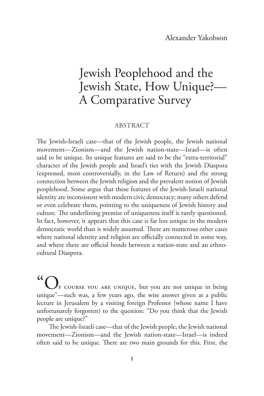# Jewish Peoplehood and the Jewish State, How Unique?— A Comparative Survey

#### ABSTRACT

The Jewish**-**Israeli case—that of the Jewish people, the Jewish national movement—Zionism—and the Jewish nation-state—Israel—is often said to be unique. Its unique features are said to be the "extra-territorial" character of the Jewish people and Israel's ties with the Jewish Diaspora (expressed, most controversially, in the Law of Return) and the strong connection between the Jewish religion and the prevalent notion of Jewish peoplehood. Some argue that these features of the Jewish-Israeli national identity are inconsistent with modern civic democracy; many others defend or even celebrate them, pointing to the uniqueness of Jewish history and culture. The underlining premise of uniqueness itself is rarely questioned. In fact, however, it appears that this case is far less unique in the modern democratic world than is widely assumed. There are numerous other cases where national identity and religion are officially connected in some way, and where there are official bonds between a nation-state and an ethnocultural Diaspora.

 $C$ <sub>F</sub> course you are unique, but you are not unique in being unique"—such was, a few years ago, the wise answer given at a public lecture in Jerusalem by a visiting foreign Professor (whose name I have unfortunately forgotten) to the question: "Do you think that the Jewish people are unique?"

The Jewish-Israeli case—that of the Jewish people, the Jewish national movement—Zionism—and the Jewish nation-state—Israel—is indeed often said to be unique. There are two main grounds for this. First, the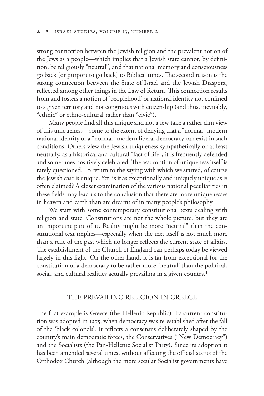strong connection between the Jewish religion and the prevalent notion of the Jews as a people—which implies that a Jewish state cannot, by definition, be religiously "neutral", and that national memory and consciousness go back (or purport to go back) to Biblical times. The second reason is the strong connection between the State of Israel and the Jewish Diaspora, reflected among other things in the Law of Return. This connection results from and fosters a notion of 'peoplehood' or national identity not confined to a given territory and not congruous with citizenship (and thus, inevitably, "ethnic" or ethno-cultural rather than "civic").

Many people find all this unique and not a few take a rather dim view of this uniqueness—some to the extent of denying that a "normal" modern national identity or a "normal" modern liberal democracy can exist in such conditions. Others view the Jewish uniqueness sympathetically or at least neutrally, as a historical and cultural "fact of life"; it is frequently defended and sometimes positively celebrated. The assumption of uniqueness itself is rarely questioned. To return to the saying with which we started, of course the Jewish case is unique. Yet, is it as exceptionally and uniquely unique as is often claimed? A closer examination of the various national peculiarities in these fields may lead us to the conclusion that there are more uniquenesses in heaven and earth than are dreamt of in many people's philosophy.

We start with some contemporary constitutional texts dealing with religion and state. Constitutions are not the whole picture, but they are an important part of it. Reality might be more "neutral" than the constitutional text implies—especially when the text itself is not much more than a relic of the past which no longer reflects the current state of affairs. The establishment of the Church of England can perhaps today be viewed largely in this light. On the other hand, it is far from exceptional for the constitution of a democracy to be rather more "neutral' than the political, social, and cultural realities actually prevailing in a given country.<sup>1</sup>

#### THE PREVAILING RELIGION IN GREECE

The first example is Greece (the Hellenic Republic). Its current constitution was adopted in 1975, when democracy was re-established after the fall of the 'black colonels'. It reflects a consensus deliberately shaped by the country's main democratic forces, the Conservatives ("New Democracy") and the Socialists (the Pan-Hellenic Socialist Party). Since its adoption it has been amended several times, without affecting the official status of the Orthodox Church (although the more secular Socialist governments have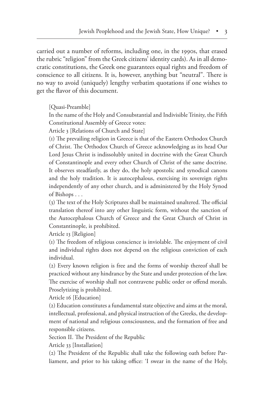carried out a number of reforms, including one, in the 1990s, that erased the rubric "religion" from the Greek citizens' identity cards). As in all democratic constitutions, the Greek one guarantees equal rights and freedom of conscience to all citizens. It is, however, anything but "neutral". There is no way to avoid (uniquely) lengthy verbatim quotations if one wishes to get the flavor of this document.

[Quasi-Preamble]

In the name of the Holy and Consubstantial and Indivisible Trinity, the Fifth Constitutional Assembly of Greece votes:

Article 3 [Relations of Church and State]

(1) The prevailing religion in Greece is that of the Eastern Orthodox Church of Christ. The Orthodox Church of Greece acknowledging as its head Our Lord Jesus Christ is indissolubly united in doctrine with the Great Church of Constantinople and every other Church of Christ of the same doctrine. It observes steadfastly, as they do, the holy apostolic and synodical canons and the holy tradition. It is autocephalous, exercising its sovereign rights independently of any other church, and is administered by the Holy Synod of Bishops . . .

(3) The text of the Holy Scriptures shall be maintained unaltered. The official translation thereof into any other linguistic form, without the sanction of the Autocephalous Church of Greece and the Great Church of Christ in Constantinople, is prohibited.

Article 13 [Religion]

(1) The freedom of religious conscience is inviolable. The enjoyment of civil and individual rights does not depend on the religious conviction of each individual.

(2) Every known religion is free and the forms of worship thereof shall be practiced without any hindrance by the State and under protection of the law. The exercise of worship shall not contravene public order or offend morals. Proselytizing is prohibited.

Article 16 [Education]

(2) Education constitutes a fundamental state objective and aims at the moral, intellectual, professional, and physical instruction of the Greeks, the development of national and religious consciousness, and the formation of free and responsible citizens.

Section II. The President of the Republic

Article 33 [Installation]

(2) The President of the Republic shall take the following oath before Parliament, and prior to his taking office: 'I swear in the name of the Holy,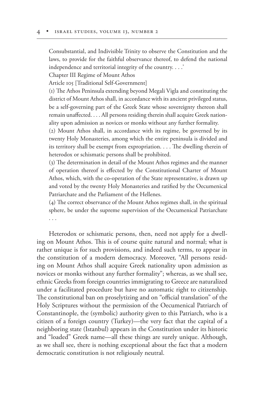Consubstantial, and Indivisible Trinity to observe the Constitution and the laws, to provide for the faithful observance thereof, to defend the national independence and territorial integrity of the country. . . .'

Chapter III Regime of Mount Athos

Article 105 [Traditional Self-Government]

(1) The Athos Peninsula extending beyond Megali Vigla and constituting the district of Mount Athos shall, in accordance with its ancient privileged status, be a self-governing part of the Greek State whose sovereignty thereon shall remain unaffected. . . . All persons residing therein shall acquire Greek nationality upon admission as novices or monks without any further formality.

(2) Mount Athos shall, in accordance with its regime, be governed by its twenty Holy Monasteries, among which the entire peninsula is divided and its territory shall be exempt from expropriation. . . . The dwelling therein of heterodox or schismatic persons shall be prohibited.

(3) The determination in detail of the Mount Athos regimes and the manner of operation thereof is effected by the Constitutional Charter of Mount Athos, which, with the co-operation of the State representative, is drawn up and voted by the twenty Holy Monasteries and ratified by the Oecumenical Patriarchate and the Parliament of the Hellenes.

(4) The correct observance of the Mount Athos regimes shall, in the spiritual sphere, be under the supreme supervision of the Oecumenical Patriarchate . . .

Heterodox or schismatic persons, then, need not apply for a dwelling on Mount Athos. This is of course quite natural and normal; what is rather unique is for such provisions, and indeed such terms, to appear in the constitution of a modern democracy. Moreover, "All persons residing on Mount Athos shall acquire Greek nationality upon admission as novices or monks without any further formality"; whereas, as we shall see, ethnic Greeks from foreign countries immigrating to Greece are naturalized under a facilitated procedure but have no automatic right to citizenship. The constitutional ban on proselytizing and on "official translation" of the Holy Scriptures without the permission of the Oecumenical Patriarch of Constantinople, the (symbolic) authority given to this Patriarch, who is a citizen of a foreign country (Turkey)—the very fact that the capital of a neighboring state (Istanbul) appears in the Constitution under its historic and "loaded" Greek name—all these things are surely unique. Although, as we shall see, there is nothing exceptional about the fact that a modern democratic constitution is not religiously neutral.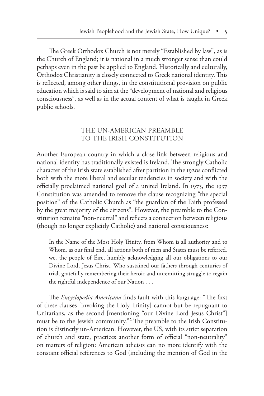The Greek Orthodox Church is not merely "Established by law", as is the Church of England; it is national in a much stronger sense than could perhaps even in the past be applied to England. Historically and culturally, Orthodox Christianity is closely connected to Greek national identity. This is reflected, among other things, in the constitutional provision on public education which is said to aim at the "development of national and religious consciousness", as well as in the actual content of what is taught in Greek public schools.

# THE UN-AMERICAN PREAMBLE TO THE IRISH CONSTITUTION

Another European country in which a close link between religious and national identity has traditionally existed is Ireland. The strongly Catholic character of the Irish state established after partition in the 1920s conflicted both with the more liberal and secular tendencies in society and with the officially proclaimed national goal of a united Ireland. In 1973, the 1937 Constitution was amended to remove the clause recognizing "the special position" of the Catholic Church as "the guardian of the Faith professed by the great majority of the citizens". However, the preamble to the Constitution remains "non-neutral" and reflects a connection between religious (though no longer explicitly Catholic) and national consciousness:

In the Name of the Most Holy Trinity, from Whom is all authority and to Whom, as our final end, all actions both of men and States must be referred, we, the people of Éire, humbly acknowledging all our obligations to our Divine Lord, Jesus Christ, Who sustained our fathers through centuries of trial, gratefully remembering their heroic and unremitting struggle to regain the rightful independence of our Nation . . .

The *Encyclopedia Americana* finds fault with this language: "The first of these clauses [invoking the Holy Trinity] cannot but be repugnant to Unitarians, as the second [mentioning "our Divine Lord Jesus Christ"] must be to the Jewish community."2 The preamble to the Irish Constitution is distinctly un-American. However, the US, with its strict separation of church and state, practices another form of official "non-neutrality" on matters of religion: American atheists can no more identify with the constant official references to God (including the mention of God in the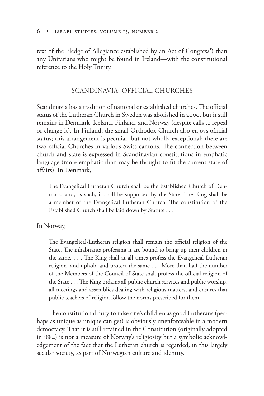text of the Pledge of Allegiance established by an Act of Congress<sup>3</sup>) than any Unitarians who might be found in Ireland—with the constitutional reference to the Holy Trinity.

## SCANDINAVIA: OFFICIAL CHURCHES

Scandinavia has a tradition of national or established churches. The official status of the Lutheran Church in Sweden was abolished in 2000, but it still remains in Denmark, Iceland, Finland, and Norway (despite calls to repeal or change it). In Finland, the small Orthodox Church also enjoys official status; this arrangement is peculiar, but not wholly exceptional: there are two official Churches in various Swiss cantons. The connection between church and state is expressed in Scandinavian constitutions in emphatic language (more emphatic than may be thought to fit the current state of affairs). In Denmark,

The Evangelical Lutheran Church shall be the Established Church of Denmark, and, as such, it shall be supported by the State. The King shall be a member of the Evangelical Lutheran Church. The constitution of the Established Church shall be laid down by Statute . . .

In Norway,

The Evangelical-Lutheran religion shall remain the official religion of the State. The inhabitants professing it are bound to bring up their children in the same. . . . The King shall at all times profess the Evangelical-Lutheran religion, and uphold and protect the same . . . More than half the number of the Members of the Council of State shall profess the official religion of the State . . . The King ordains all public church services and public worship, all meetings and assemblies dealing with religious matters, and ensures that public teachers of religion follow the norms prescribed for them.

The constitutional duty to raise one's children as good Lutherans (perhaps as unique as unique can get) is obviously unenforceable in a modern democracy. That it is still retained in the Constitution (originally adopted in 1884) is not a measure of Norway's religiosity but a symbolic acknowledgement of the fact that the Lutheran church is regarded, in this largely secular society, as part of Norwegian culture and identity.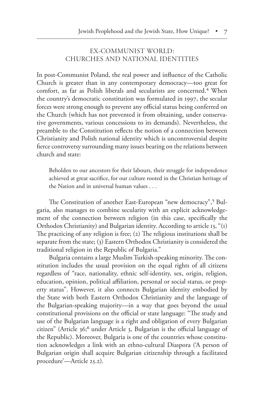# EX-COMMUNIST WORLD: CHURCHES AND NATIONAL IDENTITIES

In post-Communist Poland, the real power and influence of the Catholic Church is greater than in any contemporary democracy—too great for comfort, as far as Polish liberals and secularists are concerned.<sup>4</sup> When the country's democratic constitution was formulated in 1997, the secular forces were strong enough to prevent any official status being conferred on the Church (which has not prevented it from obtaining, under conservative governments, various concessions to its demands). Nevertheless, the preamble to the Constitution reflects the notion of a connection between Christianity and Polish national identity which is uncontroversial despite fierce controversy surrounding many issues bearing on the relations between church and state:

Beholden to our ancestors for their labours, their struggle for independence achieved at great sacrifice, for our culture rooted in the Christian heritage of the Nation and in universal human values . . .

The Constitution of another East-European "new democracy",<sup>5</sup> Bulgaria, also manages to combine secularity with an explicit acknowledgement of the connection between religion (in this case, specifically the Orthodox Christianity) and Bulgarian identity. According to article 13, "(1) The practicing of any religion is free; (2) The religious institutions shall be separate from the state; (3) Eastern Orthodox Christianity is considered the traditional religion in the Republic of Bulgaria."

Bulgaria contains a large Muslim Turkish-speaking minority. The constitution includes the usual provision on the equal rights of all citizens regardless of "race, nationality, ethnic self-identity, sex, origin, religion, education, opinion, political affiliation, personal or social status, or property status". However, it also connects Bulgarian identity embodied by the State with both Eastern Orthodox Christianity and the language of the Bulgarian-speaking majority—in a way that goes beyond the usual constitutional provisions on the official or state language: "The study and use of the Bulgarian language is a right and obligation of every Bulgarian citizen" (Article 36;6 under Article 3, Bulgarian is the official language of the Republic). Moreover, Bulgaria is one of the countries whose constitution acknowledges a link with an ethno-cultural Diaspora ('A person of Bulgarian origin shall acquire Bulgarian citizenship through a facilitated procedure'—Article 25.2).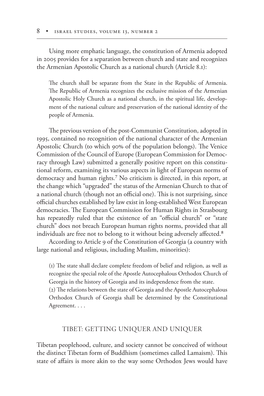Using more emphatic language, the constitution of Armenia adopted in 2005 provides for a separation between church and state and recognizes the Armenian Apostolic Church as a national church (Article 8.1):

The church shall be separate from the State in the Republic of Armenia. The Republic of Armenia recognizes the exclusive mission of the Armenian Apostolic Holy Church as a national church, in the spiritual life, development of the national culture and preservation of the national identity of the people of Armenia.

The previous version of the post-Communist Constitution, adopted in 1995, contained no recognition of the national character of the Armenian Apostolic Church (to which 90% of the population belongs). The Venice Commission of the Council of Europe (European Commission for Democracy through Law) submitted a generally positive report on this constitutional reform, examining its various aspects in light of European norms of democracy and human rights.7 No criticism is directed, in this report, at the change which "upgraded" the status of the Armenian Church to that of a national church (though not an official one). This is not surprising, since official churches established by law exist in long-established West European democracies. The European Commission for Human Rights in Strasbourg has repeatedly ruled that the existence of an "official church" or "state church" does not breach European human rights norms, provided that all individuals are free not to belong to it without being adversely affected.8

According to Article 9 of the Constitution of Georgia (a country with large national and religious, including Muslim, minorities):

(1) The state shall declare complete freedom of belief and religion, as well as recognize the special role of the Apostle Autocephalous Orthodox Church of Georgia in the history of Georgia and its independence from the state. (2) The relations between the state of Georgia and the Apostle Autocephalous Orthodox Church of Georgia shall be determined by the Constitutional Agreement. . . .

## TIBET: GETTING UNIQUER AND UNIQUER

Tibetan peoplehood, culture, and society cannot be conceived of without the distinct Tibetan form of Buddhism (sometimes called Lamaism). This state of affairs is more akin to the way some Orthodox Jews would have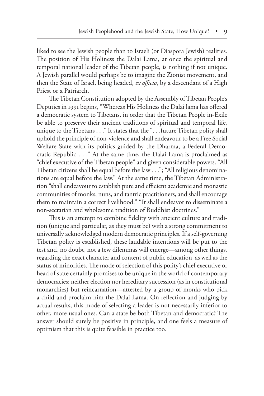liked to see the Jewish people than to Israeli (or Diaspora Jewish) realities. The position of His Holiness the Dalai Lama, at once the spiritual and temporal national leader of the Tibetan people, is nothing if not unique. A Jewish parallel would perhaps be to imagine the Zionist movement, and then the State of Israel, being headed, *ex officio*, by a descendant of a High Priest or a Patriarch.

The Tibetan Constitution adopted by the Assembly of Tibetan People's Deputies in 1991 begins, "Whereas His Holiness the Dalai lama has offered a democratic system to Tibetans, in order that the Tibetan People in-Exile be able to preserve their ancient traditions of spiritual and temporal life, unique to the Tibetans . . ." It states that the ". . .future Tibetan polity shall uphold the principle of non-violence and shall endeavour to be a Free Social Welfare State with its politics guided by the Dharma, a Federal Democratic Republic . . ." At the same time, the Dalai Lama is proclaimed as "chief executive of the Tibetan people" and given considerable powers. "All Tibetan citizens shall be equal before the law . . ."; "All religious denominations are equal before the law." At the same time, the Tibetan Administration "shall endeavour to establish pure and efficient academic and monastic communities of monks, nuns, and tantric practitioners, and shall encourage them to maintain a correct livelihood." "It shall endeavor to disseminate a non-sectarian and wholesome tradition of Buddhist doctrines."

This is an attempt to combine fidelity with ancient culture and tradition (unique and particular, as they must be) with a strong commitment to universally acknowledged modern democratic principles. If a self-governing Tibetan polity is established, these laudable intentions will be put to the test and, no doubt, not a few dilemmas will emerge—among other things, regarding the exact character and content of public education, as well as the status of minorities. The mode of selection of this polity's chief executive or head of state certainly promises to be unique in the world of contemporary democracies: neither election nor hereditary succession (as in constitutional monarchies) but reincarnation—attested by a group of monks who pick a child and proclaim him the Dalai Lama. On reflection and judging by actual results, this mode of selecting a leader is not necessarily inferior to other, more usual ones. Can a state be both Tibetan and democratic? The answer should surely be positive in principle, and one feels a measure of optimism that this is quite feasible in practice too.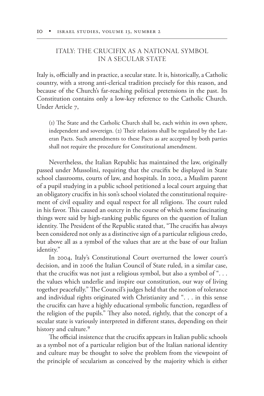## ITALY: THE CRUCIFIX AS A NATIONAL SYMBOL IN A SECULAR STATE

Italy is, officially and in practice, a secular state. It is, historically, a Catholic country, with a strong anti-clerical tradition precisely for this reason, and because of the Church's far-reaching political pretensions in the past. Its Constitution contains only a low-key reference to the Catholic Church. Under Article 7,

(1) The State and the Catholic Church shall be, each within its own sphere, independent and sovereign. (2) Their relations shall be regulated by the Lateran Pacts. Such amendments to these Pacts as are accepted by both parties shall not require the procedure for Constitutional amendment.

Nevertheless, the Italian Republic has maintained the law, originally passed under Mussolini, requiring that the crucifix be displayed in State school classrooms, courts of law, and hospitals. In 2002, a Muslim parent of a pupil studying in a public school petitioned a local court arguing that an obligatory crucifix in his son's school violated the constitutional requirement of civil equality and equal respect for all religions. The court ruled in his favor. This caused an outcry in the course of which some fascinating things were said by high-ranking public figures on the question of Italian identity. The President of the Republic stated that, "The crucifix has always been considered not only as a distinctive sign of a particular religious credo, but above all as a symbol of the values that are at the base of our Italian identity."

In 2004, Italy's Constitutional Court overturned the lower court's decision, and in 2006 the Italian Council of State ruled, in a similar case, that the crucifix was not just a religious symbol, but also a symbol of ". . . the values which underlie and inspire our constitution, our way of living together peacefully." The Council's judges held that the notion of tolerance and individual rights originated with Christianity and ". . . in this sense the crucifix can have a highly educational symbolic function, regardless of the religion of the pupils." They also noted, rightly, that the concept of a secular state is variously interpreted in different states, depending on their history and culture.<sup>9</sup>

The official insistence that the crucifix appears in Italian public schools as a symbol not of a particular religion but of the Italian national identity and culture may be thought to solve the problem from the viewpoint of the principle of secularism as conceived by the majority which is either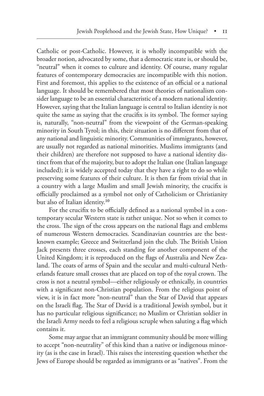Catholic or post-Catholic. However, it is wholly incompatible with the broader notion, advocated by some, that a democratic state is, or should be, "neutral" when it comes to culture and identity. Of course, many regular features of contemporary democracies are incompatible with this notion. First and foremost, this applies to the existence of an official or a national language. It should be remembered that most theories of nationalism consider language to be an essential characteristic of a modern national identity. However, saying that the Italian language is central to Italian identity is not quite the same as saying that the crucifix is its symbol. The former saying is, naturally, "non-neutral" from the viewpoint of the German-speaking minority in South Tyrol; in this, their situation is no different from that of any national and linguistic minority. Communities of immigrants, however, are usually not regarded as national minorities. Muslims immigrants (and their children) are therefore not supposed to have a national identity distinct from that of the majority, but to adopt the Italian one (Italian language included); it is widely accepted today that they have a right to do so while preserving some features of their culture. It is then far from trivial that in a country with a large Muslim and small Jewish minority, the crucifix is officially proclaimed as a symbol not only of Catholicism or Christianity but also of Italian identity.<sup>10</sup>

For the crucifix to be officially defined as a national symbol in a contemporary secular Western state is rather unique. Not so when it comes to the cross. The sign of the cross appears on the national flags and emblems of numerous Western democracies. Scandinavian countries are the bestknown example; Greece and Switzerland join the club. The British Union Jack presents three crosses, each standing for another component of the United Kingdom; it is reproduced on the flags of Australia and New Zealand. The coats of arms of Spain and the secular and multi-cultural Netherlands feature small crosses that are placed on top of the royal crown. The cross is not a neutral symbol—either religiously or ethnically, in countries with a significant non-Christian population. From the religious point of view, it is in fact more "non-neutral" than the Star of David that appears on the Israeli flag. The Star of David is a traditional Jewish symbol, but it has no particular religious significance; no Muslim or Christian soldier in the Israeli Army needs to feel a religious scruple when saluting a flag which contains it.

Some may argue that an immigrant community should be more willing to accept "non-neutrality" of this kind than a native or indigenous minority (as is the case in Israel). This raises the interesting question whether the Jews of Europe should be regarded as immigrants or as "natives". From the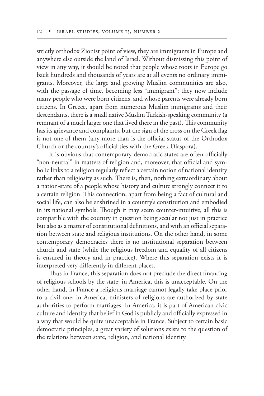strictly orthodox Zionist point of view, they are immigrants in Europe and anywhere else outside the land of Israel. Without dismissing this point of view in any way, it should be noted that people whose roots in Europe go back hundreds and thousands of years are at all events no ordinary immigrants. Moreover, the large and growing Muslim communities are also, with the passage of time, becoming less "immigrant"; they now include many people who were born citizens, and whose parents were already born citizens. In Greece, apart from numerous Muslim immigrants and their descendants, there is a small native Muslim Turkish-speaking community (a remnant of a much larger one that lived there in the past). This community has its grievance and complaints, but the sign of the cross on the Greek flag is not one of them (any more than is the official status of the Orthodox Church or the country's official ties with the Greek Diaspora).

It is obvious that contemporary democratic states are often officially "non-neutral" in matters of religion and, moreover, that official and symbolic links to a religion regularly reflect a certain notion of national identity rather than religiosity as such. There is, then, nothing extraordinary about a nation-state of a people whose history and culture strongly connect it to a certain religion. This connection, apart from being a fact of cultural and social life, can also be enshrined in a country's constitution and embodied in its national symbols. Though it may seem counter-intuitive, all this is compatible with the country in question being secular not just in practice but also as a matter of constitutional definitions, and with an official separation between state and religious institutions. On the other hand, in some contemporary democracies there is no institutional separation between church and state (while the religious freedom and equality of all citizens is ensured in theory and in practice). Where this separation exists it is interpreted very differently in different places.

Thus in France, this separation does not preclude the direct financing of religious schools by the state; in America, this is unacceptable. On the other hand, in France a religious marriage cannot legally take place prior to a civil one; in America, ministers of religions are authorized by state authorities to perform marriages. In America, it is part of American civic culture and identity that belief in God is publicly and officially expressed in a way that would be quite unacceptable in France. Subject to certain basic democratic principles, a great variety of solutions exists to the question of the relations between state, religion, and national identity.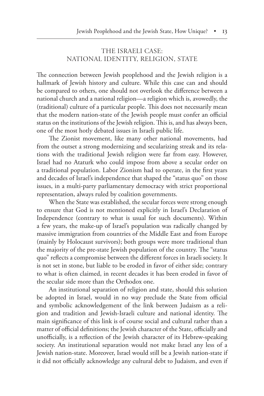# THE ISRAELI CASE: NATIONAL IDENTITY, RELIGION, STATE

The connection between Jewish peoplehood and the Jewish religion is a hallmark of Jewish history and culture. While this case can and should be compared to others, one should not overlook the difference between a national church and a national religion—a religion which is, avowedly, the (traditional) culture of a particular people. This does not necessarily mean that the modern nation-state of the Jewish people must confer an official status on the institutions of the Jewish religion. This is, and has always been, one of the most hotly debated issues in Israeli public life.

The Zionist movement, like many other national movements, had from the outset a strong modernizing and secularizing streak and its relations with the traditional Jewish religion were far from easy. However, Israel had no Ataturk who could impose from above a secular order on a traditional population. Labor Zionism had to operate, in the first years and decades of Israel's independence that shaped the "status quo" on those issues, in a multi-party parliamentary democracy with strict proportional representation, always ruled by coalition governments.

When the State was established, the secular forces were strong enough to ensure that God is not mentioned explicitly in Israel's Declaration of Independence (contrary to what is usual for such documents). Within a few years, the make-up of Israel's population was radically changed by massive immigration from countries of the Middle East and from Europe (mainly by Holocaust survivors); both groups were more traditional than the majority of the pre-state Jewish population of the country. The "status quo" reflects a compromise between the different forces in Israeli society. It is not set in stone, but liable to be eroded in favor of either side; contrary to what is often claimed, in recent decades it has been eroded in favor of the secular side more than the Orthodox one.

An institutional separation of religion and state, should this solution be adopted in Israel, would in no way preclude the State from official and symbolic acknowledgement of the link between Judaism as a religion and tradition and Jewish-Israeli culture and national identity. The main significance of this link is of course social and cultural rather than a matter of official definitions; the Jewish character of the State, officially and unofficially, is a reflection of the Jewish character of its Hebrew-speaking society. An institutional separation would not make Israel any less of a Jewish nation-state. Moreover, Israel would still be a Jewish nation-state if it did not officially acknowledge any cultural debt to Judaism, and even if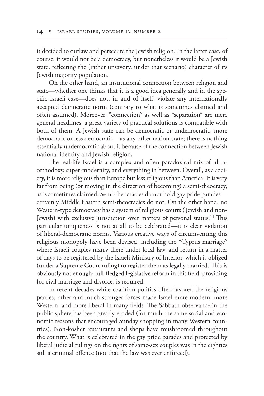it decided to outlaw and persecute the Jewish religion. In the latter case, of course, it would not be a democracy, but nonetheless it would be a Jewish state, reflecting the (rather unsavory, under that scenario) character of its Jewish majority population.

On the other hand, an institutional connection between religion and state—whether one thinks that it is a good idea generally and in the specific Israeli case—does not, in and of itself, violate any internationally accepted democratic norm (contrary to what is sometimes claimed and often assumed). Moreover, "connection" as well as "separation" are mere general headlines; a great variety of practical solutions is compatible with both of them. A Jewish state can be democratic or undemocratic, more democratic or less democratic—as any other nation-state; there is nothing essentially undemocratic about it because of the connection between Jewish national identity and Jewish religion.

The real-life Israel is a complex and often paradoxical mix of ultraorthodoxy, super-modernity, and everything in between. Overall, as a society, it is more religious than Europe but less religious than America. It is very far from being (or moving in the direction of becoming) a semi-theocracy, as is sometimes claimed. Semi-theocracies do not hold gay pride parades certainly Middle Eastern semi-theocracies do not. On the other hand, no Western-type democracy has a system of religious courts (Jewish and non-Jewish) with exclusive jurisdiction over matters of personal status.11 This particular uniqueness is not at all to be celebrated—it is clear violation of liberal-democratic norms. Various creative ways of circumventing this religious monopoly have been devised, including the "Cyprus marriage" where Israeli couples marry there under local law, and return in a matter of days to be registered by the Israeli Ministry of Interior, which is obliged (under a Supreme Court ruling) to register them as legally married. This is obviously not enough: full-fledged legislative reform in this field, providing for civil marriage and divorce, is required.

In recent decades while coalition politics often favored the religious parties, other and much stronger forces made Israel more modern, more Western, and more liberal in many fields. The Sabbath observance in the public sphere has been greatly eroded (for much the same social and economic reasons that encouraged Sunday shopping in many Western countries). Non-kosher restaurants and shops have mushroomed throughout the country. What is celebrated in the gay pride parades and protected by liberal judicial rulings on the rights of same-sex couples was in the eighties still a criminal offence (not that the law was ever enforced).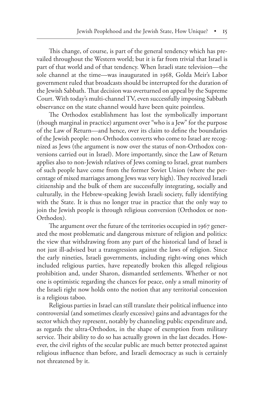This change, of course, is part of the general tendency which has prevailed throughout the Western world; but it is far from trivial that Israel is part of that world and of that tendency. When Israeli state television—the sole channel at the time—was inaugurated in 1968, Golda Meir's Labor government ruled that broadcasts should be interrupted for the duration of the Jewish Sabbath. That decision was overturned on appeal by the Supreme Court. With today's multi-channel TV, even successfully imposing Sabbath observance on the state channel would have been quite pointless.

The Orthodox establishment has lost the symbolically important (though marginal in practice) argument over "who is a Jew" for the purpose of the Law of Return—and hence, over its claim to define the boundaries of the Jewish people: non-Orthodox converts who come to Israel are recognized as Jews (the argument is now over the status of non-Orthodox conversions carried out in Israel). More importantly, since the Law of Return applies also to non-Jewish relatives of Jews coming to Israel, great numbers of such people have come from the former Soviet Union (where the percentage of mixed marriages among Jews was very high). They received Israeli citizenship and the bulk of them are successfully integrating, socially and culturally, in the Hebrew-speaking Jewish Israeli society, fully identifying with the State. It is thus no longer true in practice that the only way to join the Jewish people is through religious conversion (Orthodox or non-Orthodox).

The argument over the future of the territories occupied in 1967 generated the most problematic and dangerous mixture of religion and politics: the view that withdrawing from any part of the historical land of Israel is not just ill-advised but a transgression against the laws of religion. Since the early nineties, Israeli governments, including right-wing ones which included religious parties, have repeatedly broken this alleged religious prohibition and, under Sharon, dismantled settlements. Whether or not one is optimistic regarding the chances for peace, only a small minority of the Israeli right now holds onto the notion that any territorial concession is a religious taboo.

Religious parties in Israel can still translate their political influence into controversial (and sometimes clearly excessive) gains and advantages for the sector which they represent, notably by channeling public expenditure and, as regards the ultra-Orthodox, in the shape of exemption from military service. Their ability to do so has actually grown in the last decades. However, the civil rights of the secular public are much better protected against religious influence than before, and Israeli democracy as such is certainly not threatened by it.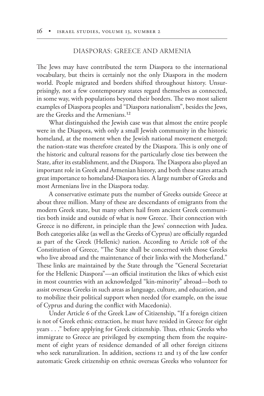### DIASPORAS: GREECE AND ARMENIA

The Jews may have contributed the term Diaspora to the international vocabulary, but theirs is certainly not the only Diaspora in the modern world. People migrated and borders shifted throughout history. Unsurprisingly, not a few contemporary states regard themselves as connected, in some way, with populations beyond their borders. The two most salient examples of Diaspora peoples and "Diaspora nationalism", besides the Jews, are the Greeks and the Armenians.<sup>12</sup>

What distinguished the Jewish case was that almost the entire people were in the Diaspora, with only a small Jewish community in the historic homeland, at the moment when the Jewish national movement emerged; the nation-state was therefore created by the Diaspora. This is only one of the historic and cultural reasons for the particularly close ties between the State, after its establishment, and the Diaspora. The Diaspora also played an important role in Greek and Armenian history, and both these states attach great importance to homeland-Diaspora ties. A large number of Greeks and most Armenians live in the Diaspora today.

A conservative estimate puts the number of Greeks outside Greece at about three million. Many of these are descendants of emigrants from the modern Greek state, but many others hail from ancient Greek communities both inside and outside of what is now Greece. Their connection with Greece is no different, in principle than the Jews' connection with Judea. Both categories alike (as well as the Greeks of Cyprus) are officially regarded as part of the Greek (Hellenic) nation. According to Article 108 of the Constitution of Greece, "The State shall be concerned with those Greeks who live abroad and the maintenance of their links with the Motherland." These links are maintained by the State through the "General Secretariat for the Hellenic Diaspora"—an official institution the likes of which exist in most countries with an acknowledged "kin-minority" abroad—both to assist overseas Greeks in such areas as language, culture, and education, and to mobilize their political support when needed (for example, on the issue of Cyprus and during the conflict with Macedonia).

Under Article 6 of the Greek Law of Citizenship, "If a foreign citizen is not of Greek ethnic extraction, he must have resided in Greece for eight years . . ." before applying for Greek citizenship. Thus, ethnic Greeks who immigrate to Greece are privileged by exempting them from the requirement of eight years of residence demanded of all other foreign citizens who seek naturalization. In addition, sections 12 and 13 of the law confer automatic Greek citizenship on ethnic overseas Greeks who volunteer for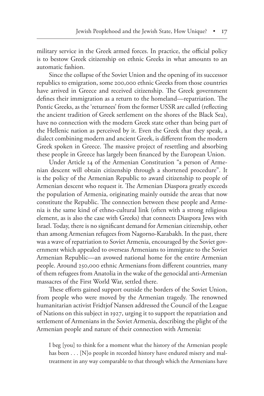military service in the Greek armed forces. In practice, the official policy is to bestow Greek citizenship on ethnic Greeks in what amounts to an automatic fashion.

Since the collapse of the Soviet Union and the opening of its successor republics to emigration, some 200,000 ethnic Greeks from those countries have arrived in Greece and received citizenship. The Greek government defines their immigration as a return to the homeland—repatriation. The Pontic Greeks, as the 'returnees' from the former USSR are called (reflecting the ancient tradition of Greek settlement on the shores of the Black Sea), have no connection with the modern Greek state other than being part of the Hellenic nation as perceived by it. Even the Greek that they speak, a dialect combining modern and ancient Greek, is different from the modern Greek spoken in Greece. The massive project of resettling and absorbing these people in Greece has largely been financed by the European Union.

Under Article 14 of the Armenian Constitution "a person of Armenian descent will obtain citizenship through a shortened procedure". It is the policy of the Armenian Republic to award citizenship to people of Armenian descent who request it. The Armenian Diaspora greatly exceeds the population of Armenia, originating mainly outside the areas that now constitute the Republic. The connection between these people and Armenia is the same kind of ethno-cultural link (often with a strong religious element, as is also the case with Greeks) that connects Diaspora Jews with Israel. Today, there is no significant demand for Armenian citizenship, other than among Armenian refugees from Nagorno-Karabakh. In the past, there was a wave of repatriation to Soviet Armenia, encouraged by the Soviet government which appealed to overseas Armenians to immigrate to the Soviet Armenian Republic—an avowed national home for the entire Armenian people. Around 250,000 ethnic Armenians from different countries, many of them refugees from Anatolia in the wake of the genocidal anti-Armenian massacres of the First World War, settled there.

These efforts gained support outside the borders of the Soviet Union, from people who were moved by the Armenian tragedy. The renowned humanitarian activist Fridtjof Nansen addressed the Council of the League of Nations on this subject in 1927, urging it to support the repatriation and settlement of Armenians in the Soviet Armenia, describing the plight of the Armenian people and nature of their connection with Armenia:

I beg [you] to think for a moment what the history of the Armenian people has been . . . [N]o people in recorded history have endured misery and maltreatment in any way comparable to that through which the Armenians have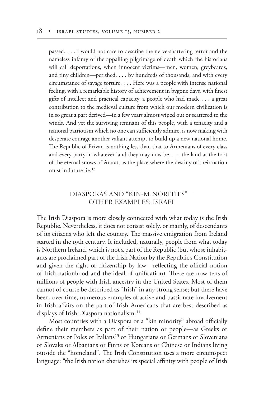passed. . . . I would not care to describe the nerve-shattering terror and the nameless infamy of the appalling pilgrimage of death which the historians will call deportations, when innocent victims—men, women, greybeards, and tiny children—perished. . . . by hundreds of thousands, and with every circumstance of savage torture. . . . Here was a people with intense national feeling, with a remarkable history of achievement in bygone days, with finest gifts of intellect and practical capacity, a people who had made . . . a great contribution to the medieval culture from which our modern civilization is in so great a part derived—in a few years almost wiped out or scattered to the winds. And yet the surviving remnant of this people, with a tenacity and a national patriotism which no one can sufficiently admire, is now making with desperate courage another valiant attempt to build up a new national home. The Republic of Erivan is nothing less than that to Armenians of every class and every party in whatever land they may now be. . . . the land at the foot of the eternal snows of Ararat, as the place where the destiny of their nation must in future lie.13

## DIASPORAS AND "KIN-MINORITIES"— OTHER EXAMPLES; ISRAEL

The Irish Diaspora is more closely connected with what today is the Irish Republic. Nevertheless, it does not consist solely, or mainly, of descendants of its citizens who left the country. The massive emigration from Ireland started in the 19th century. It included, naturally, people from what today is Northern Ireland, which is not a part of the Republic (but whose inhabitants are proclaimed part of the Irish Nation by the Republic's Constitution and given the right of citizenship by law—reflecting the official notion of Irish nationhood and the ideal of unification). There are now tens of millions of people with Irish ancestry in the United States. Most of them cannot of course be described as "Irish" in any strong sense; but there have been, over time, numerous examples of active and passionate involvement in Irish affairs on the part of Irish Americans that are best described as displays of Irish Diaspora nationalism.<sup>14</sup>

Most countries with a Diaspora or a "kin minority" abroad officially define their members as part of their nation or people—as Greeks or Armenians or Poles or Italians<sup>15</sup> or Hungarians or Germans or Slovenians or Slovaks or Albanians or Finns or Koreans or Chinese or Indians living outside the "homeland". The Irish Constitution uses a more circumspect language: "the Irish nation cherishes its special affinity with people of Irish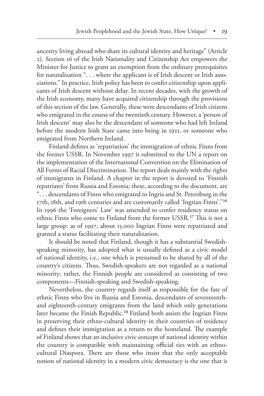ancestry living abroad who share its cultural identity and heritage" (Article 2). Section 16 of the Irish Nationality and Citizenship Act empowers the Minister for Justice to grant an exemption from the ordinary prerequisites for naturalization ". . . where the applicant is of Irish descent or Irish associations." In practice, Irish policy has been to confer citizenship upon applicants of Irish descent without delay. In recent decades, with the growth of the Irish economy, many have acquired citizenship through the provisions of this section of the law. Generally, these were descendants of Irish citizens who emigrated in the course of the twentieth century. However, a 'person of Irish descent' may also be the descendant of someone who had left Ireland before the modern Irish State came into being in 1921, or someone who emigrated from Northern Ireland.

Finland defines as 'repatriation' the immigration of ethnic Finns from the former USSR. In November 1997 it submitted to the UN a report on the implementation of the International Convention on the Elimination of All Forms of Racial Discrimination. The report deals mainly with the rights of immigrants in Finland. A chapter in the report is devoted to 'Finnish repatriates' from Russia and Estonia; these, according to the document, are ". . . descendants of Finns who emigrated to Ingria and St. Petersburg in the 17th, 18th, and 19th centuries and are customarily called 'Ingrian Finns'."16 In 1996 the 'Foreigners' Law' was amended to confer residency status on ethnic Finns who come to Finland from the former USSR.17 This is not a large group: as of 1997, about 15,000 Ingrian Finns were repatriated and granted a status facilitating their naturalization.

It should be noted that Finland, though it has a substantial Swedishspeaking minority, has adopted what is usually defined as a civic model of national identity, i.e., one which is presumed to be shared by all of the country's citizens. Thus, Swedish-speakers are not regarded as a national minority; rather, the Finnish people are considered as consisting of two components—Finnish-speaking and Swedish-speaking.

Nevertheless, the country regards itself as responsible for the fate of ethnic Finns who live in Russia and Estonia, descendants of seventeenthand eighteenth-century emigrants from the land which only generations later became the Finish Republic.<sup>18</sup> Finland both assists the Ingrian Finns in preserving their ethno-cultural identity in their countries of residence and defines their immigration as a return to the homeland. The example of Finland shows that an inclusive civic concept of national identity within the country is compatible with maintaining official ties with an ethnocultural Diaspora. There are those who insist that the only acceptable notion of national identity in a modern civic democracy is the one that is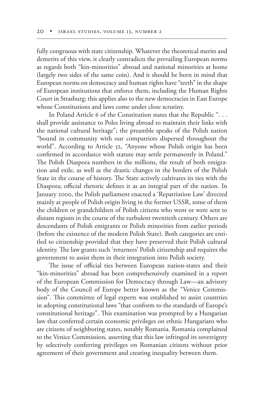fully congruous with state citizenship. Whatever the theoretical merits and demerits of this view, it clearly contradicts the prevailing European norms as regards both "kin-minorities" abroad and national minorities at home (largely two sides of the same coin). And it should be born in mind that European norms on democracy and human rights have "teeth" in the shape of European institutions that enforce them, including the Human Rights Court in Strasburg; this applies also to the new democracies in East Europe whose Constitutions and laws come under close scrutiny.

In Poland Article 6 of the Constitution states that the Republic ". . . shall provide assistance to Poles living abroad to maintain their links with the national cultural heritage"; the preamble speaks of the Polish nation "bound in community with our compatriots dispersed throughout the world". According to Article 52, "Anyone whose Polish origin has been confirmed in accordance with statute may settle permanently in Poland." The Polish Diaspora numbers in the millions, the result of both emigration and exile, as well as the drastic changes in the borders of the Polish State in the course of history. The State actively cultivates its ties with the Diaspora; official rhetoric defines it as an integral part of the nation. In January 2000, the Polish parliament enacted a 'Repatriation Law' directed mainly at people of Polish origin living in the former USSR, some of them the children or grandchildren of Polish citizens who went or were sent to distant regions in the course of the turbulent twentieth century. Others are descendants of Polish emigrants or Polish minorities from earlier periods (before the existence of the modern Polish State). Both categories are entitled to citizenship provided that they have preserved their Polish cultural identity. The law grants such 'returnees' Polish citizenship and requires the government to assist them in their integration into Polish society.

The issue of official ties between European nation-states and their "kin-minorities" abroad has been comprehensively examined in a report of the European Commission for Democracy through Law—an advisory body of the Council of Europe better known as the "Venice Commission". This committee of legal experts was established to assist countries in adopting constitutional laws "that conform to the standards of Europe's constitutional heritage". This examination was prompted by a Hungarian law that conferred certain economic privileges on ethnic Hungarians who are citizens of neighboring states, notably Romania. Romania complained to the Venice Commission, asserting that this law infringed its sovereignty by selectively conferring privileges on Romanian citizens without prior agreement of their government and creating inequality between them.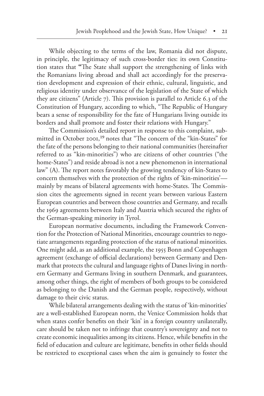While objecting to the terms of the law, Romania did not dispute, in principle, the legitimacy of such cross-border ties: its own Constitution states that **"**The State shall support the strengthening of links with the Romanians living abroad and shall act accordingly for the preservation development and expression of their ethnic, cultural, linguistic, and religious identity under observance of the legislation of the State of which they are citizens" (Article 7). This provision is parallel to Article 6.3 of the Constitution of Hungary, according to which, "The Republic of Hungary bears a sense of responsibility for the fate of Hungarians living outside its borders and shall promote and foster their relations with Hungary."

The Commission's detailed report in response to this complaint, submitted in October 2001,<sup>19</sup> notes that "The concern of the "kin-States" for the fate of the persons belonging to their national communities (hereinafter referred to as "kin-minorities") who are citizens of other countries ("the home-States") and reside abroad is not a new phenomenon in international law" (A). The report notes favorably the growing tendency of kin-States to concern themselves with the protection of the rights of 'kin-minorities' mainly by means of bilateral agreements with home-States. The Commission cites the agreements signed in recent years between various Eastern European countries and between those countries and Germany, and recalls the 1969 agreements between Italy and Austria which secured the rights of the German-speaking minority in Tyrol.

European normative documents, including the Framework Convention for the Protection of National Minorities, encourage countries to negotiate arrangements regarding protection of the status of national minorities. One might add, as an additional example, the 1955 Bonn and Copenhagen agreement (exchange of official declarations) between Germany and Denmark that protects the cultural and language rights of Danes living in northern Germany and Germans living in southern Denmark, and guarantees, among other things, the right of members of both groups to be considered as belonging to the Danish and the German people, respectively, without damage to their civic status.

While bilateral arrangements dealing with the status of 'kin-minorities' are a well-established European norm, the Venice Commission holds that when states confer benefits on their 'kin' in a foreign country unilaterally, care should be taken not to infringe that country's sovereignty and not to create economic inequalities among its citizens. Hence, while benefits in the field of education and culture are legitimate, benefits in other fields should be restricted to exceptional cases when the aim is genuinely to foster the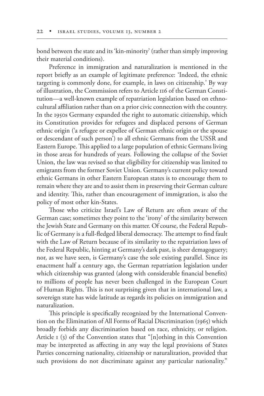bond between the state and its 'kin-minority' (rather than simply improving their material conditions).

Preference in immigration and naturalization is mentioned in the report briefly as an example of legitimate preference: 'Indeed, the ethnic targeting is commonly done, for example, in laws on citizenship.' By way of illustration, the Commission refers to Article 116 of the German Constitution—a well-known example of repatriation legislation based on ethnocultural affiliation rather than on a prior civic connection with the country. In the 1950s Germany expanded the right to automatic citizenship, which its Constitution provides for refugees and displaced persons of German ethnic origin ('a refugee or expellee of German ethnic origin or the spouse or descendant of such person') to all ethnic Germans from the USSR and Eastern Europe. This applied to a large population of ethnic Germans living in those areas for hundreds of years. Following the collapse of the Soviet Union, the law was revised so that eligibility for citizenship was limited to emigrants from the former Soviet Union. Germany's current policy toward ethnic Germans in other Eastern European states is to encourage them to remain where they are and to assist them in preserving their German culture and identity. This, rather than encouragement of immigration, is also the policy of most other kin-States.

Those who criticize Israel's Law of Return are often aware of the German case; sometimes they point to the 'irony' of the similarity between the Jewish State and Germany on this matter. Of course, the Federal Republic of Germany is a full-fledged liberal democracy. The attempt to find fault with the Law of Return because of its similarity to the repatriation laws of the Federal Republic, hinting at Germany's dark past, is sheer demagoguery; nor, as we have seen, is Germany's case the sole existing parallel. Since its enactment half a century ago, the German repatriation legislation under which citizenship was granted (along with considerable financial benefits) to millions of people has never been challenged in the European Court of Human Rights. This is not surprising given that in international law, a sovereign state has wide latitude as regards its policies on immigration and naturalization.

This principle is specifically recognized by the International Convention on the Elimination of All Forms of Racial Discrimination (1965) which broadly forbids any discrimination based on race, ethnicity, or religion. Article 1 (3) of the Convention states that "[n]othing in this Convention may be interpreted as affecting in any way the legal provisions of States Parties concerning nationality, citizenship or naturalization, provided that such provisions do not discriminate against any particular nationality."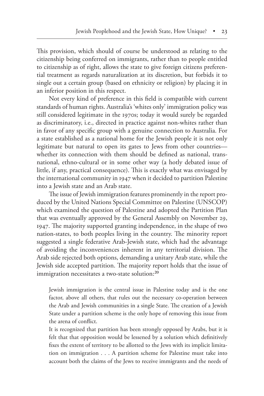This provision, which should of course be understood as relating to the citizenship being conferred on immigrants, rather than to people entitled to citizenship as of right, allows the state to give foreign citizens preferential treatment as regards naturalization at its discretion, but forbids it to single out a certain group (based on ethnicity or religion) by placing it in an inferior position in this respect.

Not every kind of preference in this field is compatible with current standards of human rights. Australia's 'whites only' immigration policy was still considered legitimate in the 1970s; today it would surely be regarded as discriminatory, i.e., directed in practice against non-whites rather than in favor of any specific group with a genuine connection to Australia. For a state established as a national home for the Jewish people it is not only legitimate but natural to open its gates to Jews from other countries whether its connection with them should be defined as national, transnational, ethno-cultural or in some other way (a hotly debated issue of little, if any, practical consequence). This is exactly what was envisaged by the international community in 1947 when it decided to partition Palestine into a Jewish state and an Arab state.

The issue of Jewish immigration features prominently in the report produced by the United Nations Special Committee on Palestine (UNSCOP) which examined the question of Palestine and adopted the Partition Plan that was eventually approved by the General Assembly on November 29, 1947. The majority supported granting independence, in the shape of two nation-states, to both peoples living in the country. The minority report suggested a single federative Arab-Jewish state, which had the advantage of avoiding the inconveniences inherent in any territorial division. The Arab side rejected both options, demanding a unitary Arab state, while the Jewish side accepted partition. The majority report holds that the issue of immigration necessitates a two-state solution:<sup>20</sup>

Jewish immigration is the central issue in Palestine today and is the one factor, above all others, that rules out the necessary co-operation between the Arab and Jewish communities in a single State. The creation of a Jewish State under a partition scheme is the only hope of removing this issue from the arena of conflict.

It is recognized that partition has been strongly opposed by Arabs, but it is felt that that opposition would be lessened by a solution which definitively fixes the extent of territory to be allotted to the Jews with its implicit limitation on immigration . . . A partition scheme for Palestine must take into account both the claims of the Jews to receive immigrants and the needs of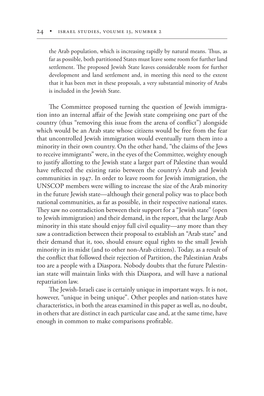the Arab population, which is increasing rapidly by natural means. Thus, as far as possible, both partitioned States must leave some room for further land settlement. The proposed Jewish State leaves considerable room for further development and land settlement and, in meeting this need to the extent that it has been met in these proposals, a very substantial minority of Arabs is included in the Jewish State.

The Committee proposed turning the question of Jewish immigration into an internal affair of the Jewish state comprising one part of the country (thus "removing this issue from the arena of conflict") alongside which would be an Arab state whose citizens would be free from the fear that uncontrolled Jewish immigration would eventually turn them into a minority in their own country. On the other hand, "the claims of the Jews to receive immigrants" were, in the eyes of the Committee, weighty enough to justify allotting to the Jewish state a larger part of Palestine than would have reflected the existing ratio between the country's Arab and Jewish communities in 1947. In order to leave room for Jewish immigration, the UNSCOP members were willing to increase the size of the Arab minority in the future Jewish state—although their general policy was to place both national communities, as far as possible, in their respective national states. They saw no contradiction between their support for a "Jewish state" (open to Jewish immigration) and their demand, in the report, that the large Arab minority in this state should enjoy full civil equality—any more than they saw a contradiction between their proposal to establish an "Arab state" and their demand that it, too, should ensure equal rights to the small Jewish minority in its midst (and to other non-Arab citizens). Today, as a result of the conflict that followed their rejection of Partition, the Palestinian Arabs too are a people with a Diaspora. Nobody doubts that the future Palestinian state will maintain links with this Diaspora, and will have a national repatriation law.

The Jewish-Israeli case is certainly unique in important ways. It is not, however, "unique in being unique". Other peoples and nation-states have characteristics, in both the areas examined in this paper as well as, no doubt, in others that are distinct in each particular case and, at the same time, have enough in common to make comparisons profitable.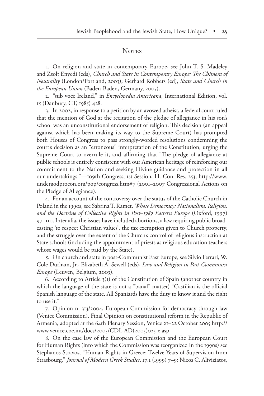## **NOTES**

1. On religion and state in contemporary Europe, see John T. S. Madeley and Zsolt Enyedi (eds), *Church and State in Contemporary Europe: The Chimera of Neutrality* (London/Portland, 2003); Gerhard Robbers (ed), *State and Church in the European Union* (Baden-Baden, Germany, 2005).

2. "sub voce Ireland," in *Encyclopedia Americana,* International Edition, vol. 15 (Danbury, CT, 1985) 428.

3. In 2002, in response to a petition by an avowed atheist, a federal court ruled that the mention of God at the recitation of the pledge of allegiance in his son's school was an unconstitutional endorsement of religion. This decision (an appeal against which has been making its way to the Supreme Court) has prompted both Houses of Congress to pass strongly-worded resolutions condemning the court's decision as an "erroneous" interpretation of the Constitution, urging the Supreme Court to overrule it, and affirming that "The pledge of allegiance at public schools is entirely consistent with our American heritage of reinforcing our commitment to the Nation and seeking Divine guidance and protection in all our undertakings."—109th Congress, 1st Session, H. Con. Res. 253, http://www. undergodprocon.org/pop/congress.htm#7 (2001–2007 Congressional Actions on the Pledge of Allegiance).

4. For an account of the controversy over the status of the Catholic Church in Poland in the 1990s, see Sabrina T. Ramet, *Whose Democracy? Nationalism, Religion, and the Doctrine of Collective Rights in Post–1989 Eastern Europe* (Oxford, 1997) 97–110. Inter alia, the issues have included abortions, a law requiring public broadcasting 'to respect Christian values', the tax exemption given to Church property, and the struggle over the extent of the Church's control of religious instruction at State schools (including the appointment of priests as religious education teachers whose wages would be paid by the State).

5. On church and state in post-Communist East Europe, see Silvio Ferrari, W. Cole Durham, Jr., Elizabeth A. Sewell (eds), *Law and Religion in Post-Communist Europe* (Leuven, Belgium, 2003).

6. According to Article  $3(i)$  of the Constitution of Spain (another country in which the language of the state is not a "banal" matter) "Castilian is the official Spanish language of the state. All Spaniards have the duty to know it and the right to use it."

7. Opinion n. 313/2004, European Commission for democracy through law (Venice Commission). Final Opinion on constitutional reform in the Republic of Armenia, adopted at the 64th Plenary Session, Venice 21–22 October 2005 http:// www.venice.coe.int/docs/2005/CDL-AD(2005)025-e.asp

8. On the case law of the European Commission and the European Court for Human Rights (into which the Commission was reorganized in the 1990s) see Stephanos Stravos, "Human Rights in Greece: Twelve Years of Supervision from Strasbourg," *Journal of Modern Greek Studies*, 17.1 (1999) 7–9; Nicos C. Aliviziatos,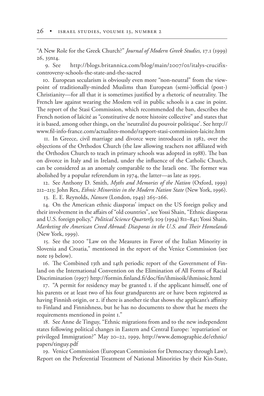"A New Role for the Greek Church?" *Journal of Modern Greek Studies,* 17.1 (1999) 26, 35n14.

9. See http://blogs.britannica.com/blog/main/2007/01/italys-crucifixcontroversy-schools-the-state-and-the-sacred

10. European secularism is obviously even more "non-neutral" from the viewpoint of traditionally-minded Muslims than European (semi-)official (post-) Christianity—for all that it is sometimes justified by a rhetoric of neutrality. The French law against wearing the Moslem veil in public schools is a case in point. The report of the Stasi Commission, which recommended the ban, describes the French notion of laïcité as "constitutive de notre histoire collective" and states that it is based, among other things, on the 'neutralité du pouvoir politique'. See http:// www.fil-info-france.com/actualites-monde/rapport-stasi-commission-laicite.htm

11. In Greece, civil marriage and divorce were introduced in 1982, over the objections of the Orthodox Church (the law allowing teachers not affiliated with the Orthodox Church to teach in primary schools was adopted in 1988). The ban on divorce in Italy and in Ireland, under the influence of the Catholic Church, can be considered as an anomaly comparable to the Israeli one. The former was abolished by a popular referendum in 1974, the latter—as late as 1995.

12. See Anthony D. Smith, *Myths and Memories of the Nation* (Oxford, 1999) 212–213; John Rex, *Ethnic Minorities in the Modern Nation State* (New York, 1996).

13. E. E. Reynolds, *Nansen* (London, 1949) 265–266.

14. On the American ethnic diasporas' impact on the US foreign policy and their involvement in the affairs of "old countries", see Yossi Shain, "Ethnic diasporas and U.S. foreign policy," *Political Science Quarterly,* 109 (1994) 811–841; Yossi Shain, *Marketing the American Creed Abroad: Diasporas in the U.S. and Their Homelands* (New York, 1999).

15. See the 2000 "Law on the Measures in Favor of the Italian Minority in Slovenia and Croatia," mentioned in the report of the Venice Commission (see note 19 below).

16. The Combined 13th and 14th periodic report of the Government of Finland on the International Convention on the Elimination of All Forms of Racial Discrimination (1997) http://formin.finland.fi/doc/fin/ihmisoik/ihmisoic.html

17. "A permit for residency may be granted 1. if the applicant himself, one of his parents or at least two of his four grandparents are or have been registered as having Finnish origin, or 2. if there is another tie that shows the applicant's affinity to Finland and Finnishness, but he has no documents to show that he meets the requirements mentioned in point 1."

18. See Anne de Tinguy, "Ethnic migrations from and to the new independent states following political changes in Eastern and Central Europe: 'repatriation' or privileged Immigration?" May 20–22, 1999, http://www.demographie.de/ethnic/ papers/tinguy.pdf

19. Venice Commission (European Commission for Democracy through Law), Report on the Preferential Treatment of National Minorities by their Kin-State,